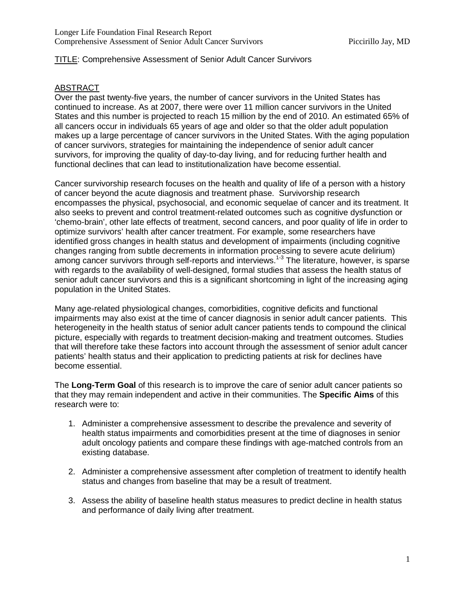## TITLE: Comprehensive Assessment of Senior Adult Cancer Survivors

### ABSTRACT

Over the past twenty-five years, the number of cancer survivors in the United States has continued to increase. As at 2007, there were over 11 million cancer survivors in the United States and this number is projected to reach 15 million by the end of 2010. An estimated 65% of all cancers occur in individuals 65 years of age and older so that the older adult population makes up a large percentage of cancer survivors in the United States. With the aging population of cancer survivors, strategies for maintaining the independence of senior adult cancer survivors, for improving the quality of day-to-day living, and for reducing further health and functional declines that can lead to institutionalization have become essential.

Cancer survivorship research focuses on the health and quality of life of a person with a history of cancer beyond the acute diagnosis and treatment phase. Survivorship research encompasses the physical, psychosocial, and economic sequelae of cancer and its treatment. It also seeks to prevent and control treatment-related outcomes such as cognitive dysfunction or 'chemo-brain', other late effects of treatment, second cancers, and poor quality of life in order to optimize survivors' health after cancer treatment. For example, some researchers have identified gross changes in health status and development of impairments (including cognitive changes ranging from subtle decrements in information processing to severe acute delirium) among cancer survivors through self-reports and interviews.<sup>1-3</sup> The literature, however, is sparse with regards to the availability of well-designed, formal studies that assess the health status of senior adult cancer survivors and this is a significant shortcoming in light of the increasing aging population in the United States.

Many age-related physiological changes, comorbidities, cognitive deficits and functional impairments may also exist at the time of cancer diagnosis in senior adult cancer patients. This heterogeneity in the health status of senior adult cancer patients tends to compound the clinical picture, especially with regards to treatment decision-making and treatment outcomes. Studies that will therefore take these factors into account through the assessment of senior adult cancer patients' health status and their application to predicting patients at risk for declines have become essential.

The **Long-Term Goal** of this research is to improve the care of senior adult cancer patients so that they may remain independent and active in their communities. The **Specific Aims** of this research were to:

- 1. Administer a comprehensive assessment to describe the prevalence and severity of health status impairments and comorbidities present at the time of diagnoses in senior adult oncology patients and compare these findings with age-matched controls from an existing database.
- 2. Administer a comprehensive assessment after completion of treatment to identify health status and changes from baseline that may be a result of treatment.
- 3. Assess the ability of baseline health status measures to predict decline in health status and performance of daily living after treatment.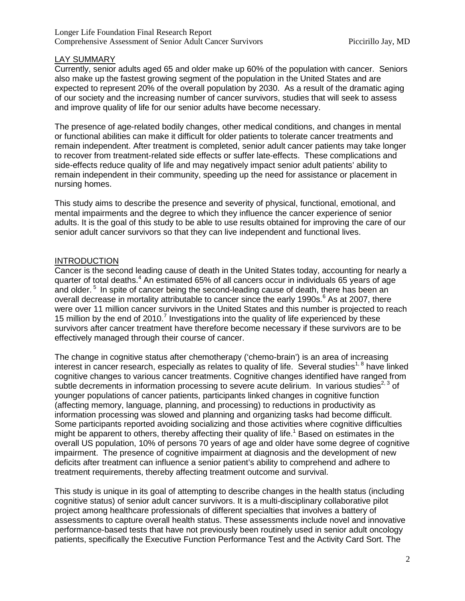## LAY SUMMARY

Currently, senior adults aged 65 and older make up 60% of the population with cancer. Seniors also make up the fastest growing segment of the population in the United States and are expected to represent 20% of the overall population by 2030. As a result of the dramatic aging of our society and the increasing number of cancer survivors, studies that will seek to assess and improve quality of life for our senior adults have become necessary.

The presence of age-related bodily changes, other medical conditions, and changes in mental or functional abilities can make it difficult for older patients to tolerate cancer treatments and remain independent. After treatment is completed, senior adult cancer patients may take longer to recover from treatment-related side effects or suffer late-effects. These complications and side-effects reduce quality of life and may negatively impact senior adult patients' ability to remain independent in their community, speeding up the need for assistance or placement in nursing homes.

This study aims to describe the presence and severity of physical, functional, emotional, and mental impairments and the degree to which they influence the cancer experience of senior adults. It is the goal of this study to be able to use results obtained for improving the care of our senior adult cancer survivors so that they can live independent and functional lives.

### **INTRODUCTION**

Cancer is the second leading cause of death in the United States today, accounting for nearly a quarter of total deaths.<sup>4</sup> An estimated 65% of all cancers occur in individuals 65 years of age and older.<sup>5</sup> In spite of cancer being the second-leading cause of death, there has been an overall decrease in mortality attributable to cancer since the early 1990s. $<sup>6</sup>$  As at 2007, there</sup> were over 11 million cancer survivors in the United States and this number is projected to reach 15 million by the end of 2010.<sup>7</sup> Investigations into the quality of life experienced by these survivors after cancer treatment have therefore become necessary if these survivors are to be effectively managed through their course of cancer.

The change in cognitive status after chemotherapy ('chemo-brain') is an area of increasing interest in cancer research, especially as relates to quality of life. Several studies<sup>1, 8</sup> have linked cognitive changes to various cancer treatments. Cognitive changes identified have ranged from subtle decrements in information processing to severe acute delirium. In various studies<sup>2, 3</sup> of younger populations of cancer patients, participants linked changes in cognitive function (affecting memory, language, planning, and processing) to reductions in productivity as information processing was slowed and planning and organizing tasks had become difficult. Some participants reported avoiding socializing and those activities where cognitive difficulties might be apparent to others, thereby affecting their quality of life.<sup>1</sup> Based on estimates in the overall US population, 10% of persons 70 years of age and older have some degree of cognitive impairment. The presence of cognitive impairment at diagnosis and the development of new deficits after treatment can influence a senior patient's ability to comprehend and adhere to treatment requirements, thereby affecting treatment outcome and survival.

This study is unique in its goal of attempting to describe changes in the health status (including cognitive status) of senior adult cancer survivors. It is a multi-disciplinary collaborative pilot project among healthcare professionals of different specialties that involves a battery of assessments to capture overall health status. These assessments include novel and innovative performance-based tests that have not previously been routinely used in senior adult oncology patients, specifically the Executive Function Performance Test and the Activity Card Sort. The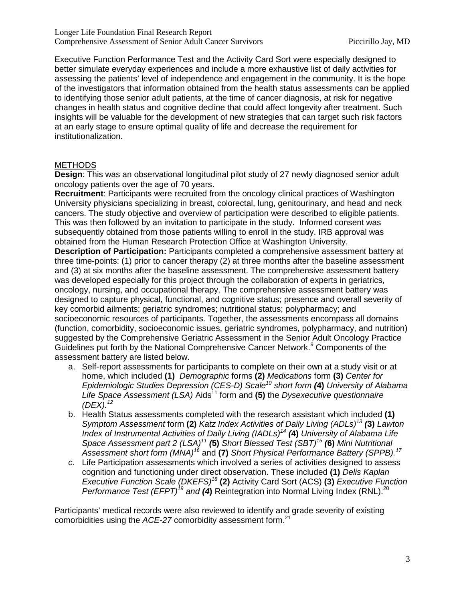Executive Function Performance Test and the Activity Card Sort were especially designed to better simulate everyday experiences and include a more exhaustive list of daily activities for assessing the patients' level of independence and engagement in the community. It is the hope of the investigators that information obtained from the health status assessments can be applied to identifying those senior adult patients, at the time of cancer diagnosis, at risk for negative changes in health status and cognitive decline that could affect longevity after treatment. Such insights will be valuable for the development of new strategies that can target such risk factors at an early stage to ensure optimal quality of life and decrease the requirement for institutionalization.

# METHODS

**Design**: This was an observational longitudinal pilot study of 27 newly diagnosed senior adult oncology patients over the age of 70 years.

**Recruitment**: Participants were recruited from the oncology clinical practices of Washington University physicians specializing in breast, colorectal, lung, genitourinary, and head and neck cancers. The study objective and overview of participation were described to eligible patients. This was then followed by an invitation to participate in the study. Informed consent was subsequently obtained from those patients willing to enroll in the study. IRB approval was obtained from the Human Research Protection Office at Washington University.

**Description of Participation:** Participants completed a comprehensive assessment battery at three time-points: (1) prior to cancer therapy (2) at three months after the baseline assessment and (3) at six months after the baseline assessment. The comprehensive assessment battery was developed especially for this project through the collaboration of experts in geriatrics, oncology, nursing, and occupational therapy. The comprehensive assessment battery was designed to capture physical, functional, and cognitive status; presence and overall severity of key comorbid ailments; geriatric syndromes; nutritional status; polypharmacy; and socioeconomic resources of participants. Together, the assessments encompass all domains (function, comorbidity, socioeconomic issues, geriatric syndromes, polypharmacy, and nutrition) suggested by the Comprehensive Geriatric Assessment in the Senior Adult Oncology Practice Guidelines put forth by the National Comprehensive Cancer Network.<sup>9</sup> Components of the assessment battery are listed below.

- a. Self-report assessments for participants to complete on their own at a study visit or at home, which included **(1)** *Demographic* forms **(2)** *Medications* form **(3)** *Center for Epidemiologic Studies Depression (CES-D) Scale10 short form (***4)** *University of Alabama*  Life Space Assessment (LSA) Aids<sup>11</sup> form and (5) the *Dysexecutive questionnaire (DEX).12*
- b. Health Status assessments completed with the research assistant which included **(1)** *Symptom Assessment* form **(2)** *Katz Index Activities of Daily Living (ADLs)13 (***3)** *Lawton Index of Instrumental Activities of Daily Living (IADLs) <sup>14</sup> (***4)** *University of Alabama Life Space Assessment part 2 (LSA) <sup>11</sup> (***5)** *Short Blessed Test (SBT)<sup>15</sup> (***6)** *Mini Nutritional Assessment short form (MNA)<sup>16</sup>* and **(7)** *Short Physical Performance Battery (SPPB). 17*
- *c.* Life Participation assessments which involved a series of activities designed to assess cognition and functioning under direct observation. These included **(1)** *Delis Kaplan Executive Function Scale (DKEFS)<sup>18</sup>* **(2)** Activity Card Sort (ACS) **(3)** *Executive Function Performance Test (EFPT)<sup>19</sup> and (4)* Reintegration into Normal Living Index (RNL).<sup>20</sup>

Participants' medical records were also reviewed to identify and grade severity of existing comorbidities using the *ACE-27* comorbidity assessment form. 21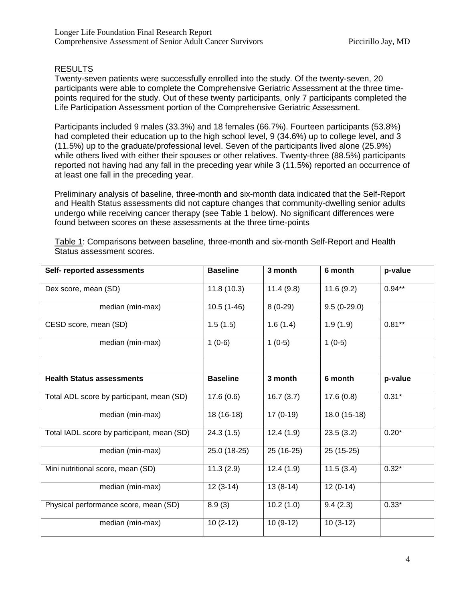# RESULTS

Twenty-seven patients were successfully enrolled into the study. Of the twenty-seven, 20 participants were able to complete the Comprehensive Geriatric Assessment at the three timepoints required for the study. Out of these twenty participants, only 7 participants completed the Life Participation Assessment portion of the Comprehensive Geriatric Assessment.

Participants included 9 males (33.3%) and 18 females (66.7%). Fourteen participants (53.8%) had completed their education up to the high school level, 9 (34.6%) up to college level, and 3 (11.5%) up to the graduate/professional level. Seven of the participants lived alone (25.9%) while others lived with either their spouses or other relatives. Twenty-three (88.5%) participants reported not having had any fall in the preceding year while 3 (11.5%) reported an occurrence of at least one fall in the preceding year.

Preliminary analysis of baseline, three-month and six-month data indicated that the Self-Report and Health Status assessments did not capture changes that community-dwelling senior adults undergo while receiving cancer therapy (see Table 1 below). No significant differences were found between scores on these assessments at the three time-points

| Self- reported assessments                 | <b>Baseline</b> | 3 month    | 6 month       | p-value  |
|--------------------------------------------|-----------------|------------|---------------|----------|
| Dex score, mean (SD)                       | 11.8(10.3)      | 11.4(9.8)  | 11.6(9.2)     | $0.94**$ |
| median (min-max)                           | $10.5(1-46)$    | $8(0-29)$  | $9.5(0-29.0)$ |          |
| CESD score, mean (SD)                      | 1.5(1.5)        | 1.6(1.4)   | 1.9(1.9)      | $0.81**$ |
| median (min-max)                           | $1(0-6)$        | $1(0-5)$   | $1(0-5)$      |          |
|                                            |                 |            |               |          |
| <b>Health Status assessments</b>           | <b>Baseline</b> | 3 month    | 6 month       | p-value  |
| Total ADL score by participant, mean (SD)  | 17.6(0.6)       | 16.7(3.7)  | 17.6(0.8)     | $0.31*$  |
| median (min-max)                           | 18 (16-18)      | $17(0-19)$ | 18.0 (15-18)  |          |
| Total IADL score by participant, mean (SD) | 24.3(1.5)       | 12.4(1.9)  | 23.5(3.2)     | $0.20*$  |
| median (min-max)                           | 25.0 (18-25)    | 25 (16-25) | $25(15-25)$   |          |
| Mini nutritional score, mean (SD)          | 11.3(2.9)       | 12.4(1.9)  | 11.5(3.4)     | $0.32*$  |
| median (min-max)                           | $12(3-14)$      | $13(8-14)$ | $12(0-14)$    |          |
| Physical performance score, mean (SD)      | 8.9(3)          | 10.2(1.0)  | 9.4(2.3)      | $0.33*$  |
| median (min-max)                           | $10(2-12)$      | $10(9-12)$ | $10(3-12)$    |          |

Table 1: Comparisons between baseline, three-month and six-month Self-Report and Health Status assessment scores.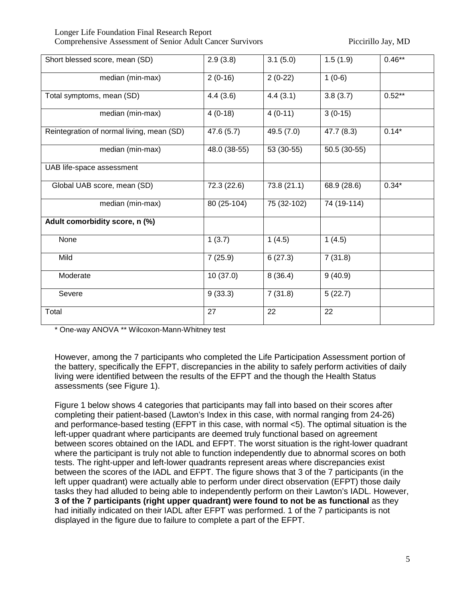Longer Life Foundation Final Research Report Comprehensive Assessment of Senior Adult Cancer Survivors Piccirillo Jay, MD

| Short blessed score, mean (SD)            | 2.9(3.8)     | 3.1(5.0)    | 1.5(1.9)     | $0.46***$ |
|-------------------------------------------|--------------|-------------|--------------|-----------|
| median (min-max)                          | $2(0-16)$    | $2(0-22)$   | $1(0-6)$     |           |
| Total symptoms, mean (SD)                 | 4.4(3.6)     | 4.4(3.1)    | 3.8(3.7)     | $0.52**$  |
| median (min-max)                          | $4(0-18)$    | $4(0-11)$   | $3(0-15)$    |           |
| Reintegration of normal living, mean (SD) | 47.6 (5.7)   | 49.5 (7.0)  | 47.7 (8.3)   | $0.14*$   |
| median (min-max)                          | 48.0 (38-55) | 53 (30-55)  | 50.5 (30-55) |           |
| UAB life-space assessment                 |              |             |              |           |
| Global UAB score, mean (SD)               | 72.3 (22.6)  | 73.8 (21.1) | 68.9 (28.6)  | $0.34*$   |
| median (min-max)                          | $80(25-104)$ | 75 (32-102) | 74 (19-114)  |           |
| Adult comorbidity score, n (%)            |              |             |              |           |
| None                                      | 1(3.7)       | 1(4.5)      | 1(4.5)       |           |
| Mild                                      | 7(25.9)      | 6(27.3)     | 7(31.8)      |           |
| Moderate                                  | 10 (37.0)    | 8(36.4)     | 9(40.9)      |           |
| Severe                                    | 9(33.3)      | 7(31.8)     | 5(22.7)      |           |
| Total                                     | 27           | 22          | 22           |           |

\* One-way ANOVA \*\* Wilcoxon-Mann-Whitney test

However, among the 7 participants who completed the Life Participation Assessment portion of the battery, specifically the EFPT, discrepancies in the ability to safely perform activities of daily living were identified between the results of the EFPT and the though the Health Status assessments (see Figure 1).

Figure 1 below shows 4 categories that participants may fall into based on their scores after completing their patient-based (Lawton's Index in this case, with normal ranging from 24-26) and performance-based testing (EFPT in this case, with normal <5). The optimal situation is the left-upper quadrant where participants are deemed truly functional based on agreement between scores obtained on the IADL and EFPT. The worst situation is the right-lower quadrant where the participant is truly not able to function independently due to abnormal scores on both tests. The right-upper and left-lower quadrants represent areas where discrepancies exist between the scores of the IADL and EFPT. The figure shows that 3 of the 7 participants (in the left upper quadrant) were actually able to perform under direct observation (EFPT) those daily tasks they had alluded to being able to independently perform on their Lawton's IADL. However, **3 of the 7 participants (right upper quadrant) were found to not be as functional** as they had initially indicated on their IADL after EFPT was performed. 1 of the 7 participants is not displayed in the figure due to failure to complete a part of the EFPT.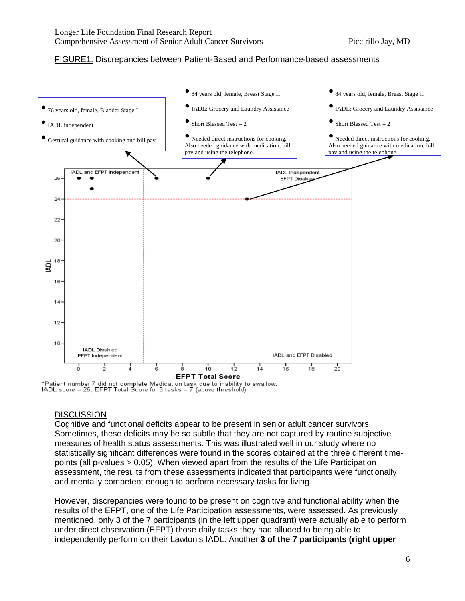## FIGURE1: Discrepancies between Patient-Based and Performance-based assessments



\*Patient number 7 did not complete Medication task due to inability to swallow. IADL score = 26; EFPT Total Score for 3 tasks = 7 (above threshold).

# **DISCUSSION**

Cognitive and functional deficits appear to be present in senior adult cancer survivors. Sometimes, these deficits may be so subtle that they are not captured by routine subjective measures of health status assessments. This was illustrated well in our study where no statistically significant differences were found in the scores obtained at the three different timepoints (all p-values > 0.05). When viewed apart from the results of the Life Participation assessment, the results from these assessments indicated that participants were functionally and mentally competent enough to perform necessary tasks for living.

However, discrepancies were found to be present on cognitive and functional ability when the results of the EFPT, one of the Life Participation assessments, were assessed. As previously mentioned, only 3 of the 7 participants (in the left upper quadrant) were actually able to perform under direct observation (EFPT) those daily tasks they had alluded to being able to independently perform on their Lawton's IADL. Another **3 of the 7 participants (right upper**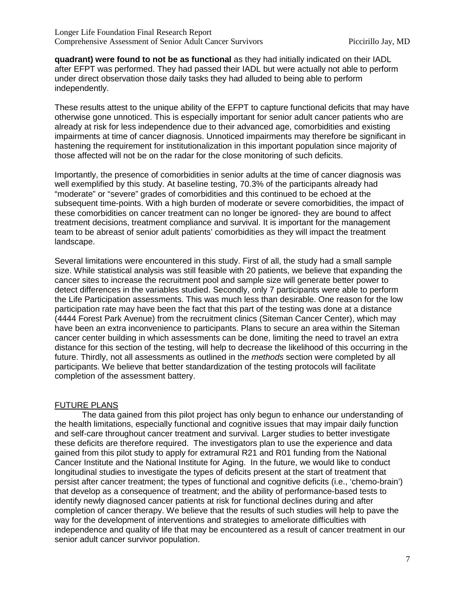**quadrant) were found to not be as functional** as they had initially indicated on their IADL after EFPT was performed. They had passed their IADL but were actually not able to perform under direct observation those daily tasks they had alluded to being able to perform independently.

These results attest to the unique ability of the EFPT to capture functional deficits that may have otherwise gone unnoticed. This is especially important for senior adult cancer patients who are already at risk for less independence due to their advanced age, comorbidities and existing impairments at time of cancer diagnosis. Unnoticed impairments may therefore be significant in hastening the requirement for institutionalization in this important population since majority of those affected will not be on the radar for the close monitoring of such deficits.

Importantly, the presence of comorbidities in senior adults at the time of cancer diagnosis was well exemplified by this study. At baseline testing, 70.3% of the participants already had "moderate" or "severe" grades of comorbidities and this continued to be echoed at the subsequent time-points. With a high burden of moderate or severe comorbidities, the impact of these comorbidities on cancer treatment can no longer be ignored- they are bound to affect treatment decisions, treatment compliance and survival. It is important for the management team to be abreast of senior adult patients' comorbidities as they will impact the treatment landscape.

Several limitations were encountered in this study. First of all, the study had a small sample size. While statistical analysis was still feasible with 20 patients, we believe that expanding the cancer sites to increase the recruitment pool and sample size will generate better power to detect differences in the variables studied. Secondly, only 7 participants were able to perform the Life Participation assessments. This was much less than desirable. One reason for the low participation rate may have been the fact that this part of the testing was done at a distance (4444 Forest Park Avenue) from the recruitment clinics (Siteman Cancer Center), which may have been an extra inconvenience to participants. Plans to secure an area within the Siteman cancer center building in which assessments can be done, limiting the need to travel an extra distance for this section of the testing, will help to decrease the likelihood of this occurring in the future. Thirdly, not all assessments as outlined in the *methods* section were completed by all participants. We believe that better standardization of the testing protocols will facilitate completion of the assessment battery.

# FUTURE PLANS

The data gained from this pilot project has only begun to enhance our understanding of the health limitations, especially functional and cognitive issues that may impair daily function and self-care throughout cancer treatment and survival. Larger studies to better investigate these deficits are therefore required. The investigators plan to use the experience and data gained from this pilot study to apply for extramural R21 and R01 funding from the National Cancer Institute and the National Institute for Aging. In the future, we would like to conduct longitudinal studies to investigate the types of deficits present at the start of treatment that persist after cancer treatment; the types of functional and cognitive deficits (i.e., 'chemo-brain') that develop as a consequence of treatment; and the ability of performance-based tests to identify newly diagnosed cancer patients at risk for functional declines during and after completion of cancer therapy. We believe that the results of such studies will help to pave the way for the development of interventions and strategies to ameliorate difficulties with independence and quality of life that may be encountered as a result of cancer treatment in our senior adult cancer survivor population.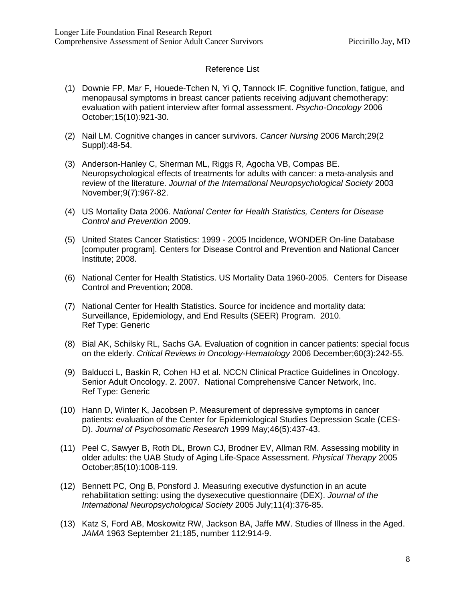### Reference List

- (1) Downie FP, Mar F, Houede-Tchen N, Yi Q, Tannock IF. Cognitive function, fatigue, and menopausal symptoms in breast cancer patients receiving adjuvant chemotherapy: evaluation with patient interview after formal assessment. *Psycho-Oncology* 2006 October;15(10):921-30.
- (2) Nail LM. Cognitive changes in cancer survivors. *Cancer Nursing* 2006 March;29(2 Suppl):48-54.
- (3) Anderson-Hanley C, Sherman ML, Riggs R, Agocha VB, Compas BE. Neuropsychological effects of treatments for adults with cancer: a meta-analysis and review of the literature. *Journal of the International Neuropsychological Society* 2003 November;9(7):967-82.
- (4) US Mortality Data 2006. *National Center for Health Statistics, Centers for Disease Control and Prevention* 2009.
- (5) United States Cancer Statistics: 1999 2005 Incidence, WONDER On-line Database [computer program]. Centers for Disease Control and Prevention and National Cancer Institute; 2008.
- (6) National Center for Health Statistics. US Mortality Data 1960-2005. Centers for Disease Control and Prevention; 2008.
- (7) National Center for Health Statistics. Source for incidence and mortality data: Surveillance, Epidemiology, and End Results (SEER) Program. 2010. Ref Type: Generic
- (8) Bial AK, Schilsky RL, Sachs GA. Evaluation of cognition in cancer patients: special focus on the elderly. *Critical Reviews in Oncology-Hematology* 2006 December;60(3):242-55.
- (9) Balducci L, Baskin R, Cohen HJ et al. NCCN Clinical Practice Guidelines in Oncology. Senior Adult Oncology. 2. 2007. National Comprehensive Cancer Network, Inc. Ref Type: Generic
- (10) Hann D, Winter K, Jacobsen P. Measurement of depressive symptoms in cancer patients: evaluation of the Center for Epidemiological Studies Depression Scale (CES-D). *Journal of Psychosomatic Research* 1999 May;46(5):437-43.
- (11) Peel C, Sawyer B, Roth DL, Brown CJ, Brodner EV, Allman RM. Assessing mobility in older adults: the UAB Study of Aging Life-Space Assessment. *Physical Therapy* 2005 October;85(10):1008-119.
- (12) Bennett PC, Ong B, Ponsford J. Measuring executive dysfunction in an acute rehabilitation setting: using the dysexecutive questionnaire (DEX). *Journal of the International Neuropsychological Society* 2005 July;11(4):376-85.
- (13) Katz S, Ford AB, Moskowitz RW, Jackson BA, Jaffe MW. Studies of Illness in the Aged. *JAMA* 1963 September 21;185, number 112:914-9.